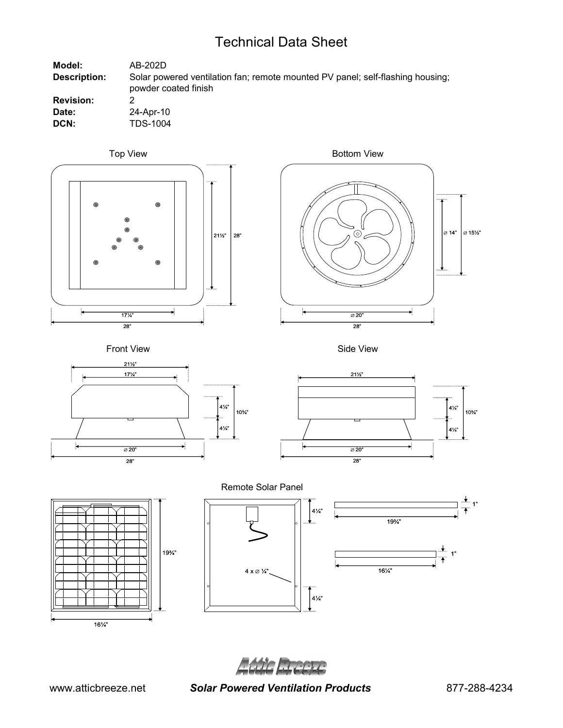# Technical Data Sheet

| Model:              | AB-202D                                                                                                |
|---------------------|--------------------------------------------------------------------------------------------------------|
| <b>Description:</b> | Solar powered ventilation fan; remote mounted PV panel; self-flashing housing;<br>powder coated finish |
| <b>Revision:</b>    |                                                                                                        |
| Date:               | 24-Apr-10                                                                                              |
| DCN:                | TDS-1004                                                                                               |



















Adic Recett

www.atticbreeze.net *Solar Powered Ventilation Products* 877-288-4234

1"

1"